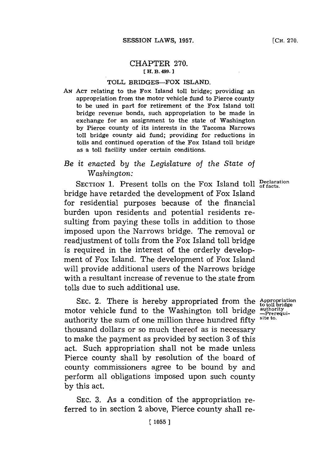## CHAPTER **270. [H. B. 499.**

## TOLL BRIDGES-FOX **ISLAND.**

**AN ACT** relating to the Fox Island toll bridge; providing an appropriation from the motor vehicle fund to Pierce county to be used in part for retirement of the Fox Island toll bridge revenue bonds, such appropriation to be made in exchange for an assignment to the state of Washington **by** Pierce county of its interests in the Tacoma Narrows toll bridge county aid fund; providing for reductions in tolls and continued operation of the Fox Island toll bridge as a toll facility under certain conditions.

## *Be it enacted by the Legislature of the State of Washington:*

SECTION 1. Present tolls on the Fox Island toll **Declaration** bridge have retarded the development of Fox Island for residential purposes because of the financial burden upon residents and potential residents resulting from paying these tolls in addition to those imposed upon the Narrows bridge. The removal or readjustment of tolls from the Fox Island toll bridge is required in the interest of the orderly development of Fox Island. The development of Fox Island will provide additional users of the Narrows bridge with a resultant increase of revenue to the state from tolls due to such additional use.

**SEC.** 2. There is hereby appropriated from the motor vehicle fund to the Washington toll bridge authority the sum of one million three hundred fifty thousand dollars or so much thereof as is necessary to make the payment as provided **by** section **3** of this act. Such appropriation shall not be made unless Pierce county shall **by** resolution of the board of county commissioners agree to be bound **by** and perform all obligations imposed upon such county **by** this act.

**SEC. 3.** As a condition of the appropriation referred to in section 2 above, Pierce county shall re-

**Appropriation to toll bridge authority -Prerequis ite to.**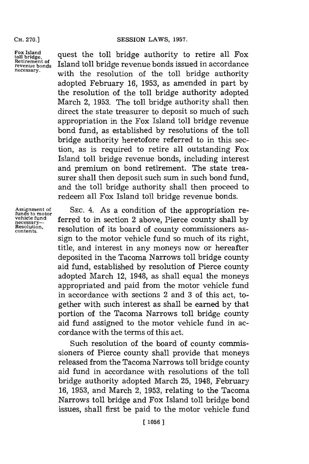## CH. **70.]SESSION** LAWS, **1957.**

**CH. 270.]**

**Fox Island toll bridge. Retirement of revenue bonds necessary.**

quest the toll bridge authority to retire all Fox Island toll bridge revenue bonds issued in accordance with the resolution of the toll bridge authority adopted February **16, 1953,** as amended in part **by** the resolution of the toll bridge authority adopted March 2, **1953.** The toll bridge authority shall then direct the state treasurer to deposit so much of such appropriation in the Fox Island toll bridge revenue bond fund, as established **by** resolutions of the toll bridge authority heretofore referred to in this section, as is required to retire all outstanding Fox Island toll bridge revenue bonds, including interest and premium on bond retirement. The state treasurer shall then deposit such sum in such bond fund, and the toll bridge authority shall then proceed to redeem all Fox Island toll bridge revenue bonds.

**Assignment of funds to motor vehicle fund necessary-Resolution, contents.**

**SEC.** 4. As a condition of the appropriation referred to in section 2 above, Pierce county shall **by** resolution of its board of county commissioners assign to the motor vehicle fund so much of its right, title, and interest in any moneys now or hereafter deposited in the Tacoma Narrows toll bridge county aid fund, established **by** resolution of Fierce county adopted March 12, 1948, as shall equal the moneys appropriated and paid from the motor vehicle fund in accordance with sections 2 and **3** of this act, together with such interest as shall be earned **by** that portion of the Tacoma Narrows toll bridge county aid fund assigned to the motor vehicle fund in accordance with the terms of this act.

Such resolution of the board of county commissioners of Pierce county shall provide that moneys released from the Tacoma Narrows toll bridge county aid fund in accordance with resolutions of the toll bridge authority adopted March **25,** 1948, February **16, 1953,** and March 2, **1953,** relating to the Tacoma Narrows toll bridge and Fox Island toll bridge bond issues, shall first be paid to the motor vehicle fund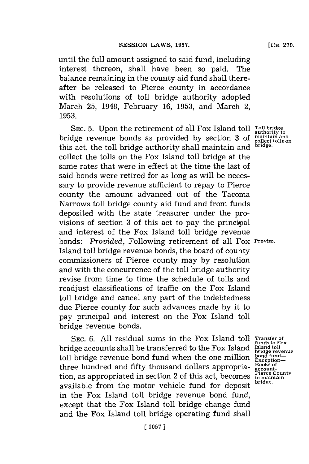until the full amount assigned to said fund, including interest thereon, shall have been so paid. The balance remaining in the county aid fund shall thereafter be released to Pierce county in accordance with resolutions of toll bridge authority adopted March **25,** 1948, February **16, 1953,** and March 2, **1953.**

**SEC. 5.** Upon the retirement of all Fox Island toll **Toll bridge** bridge revenue bonds as provided **by** section **3 of maintain and** this act, the toll bridge authority shall maintain and **bridge.** collect the tolls on the Fox Island toll bridge at the same rates that were in effect at the time the last of said bonds were retired for as long as will be necessary to provide revenue sufficient to repay to Pierce county the amount advanced out of the Tacoma Narrows toll bridge county aid fund and from funds deposited with the state treasurer under the provisions of section **3** of this act to pay the principal and interest of the Fox Island toll bridge revenue bonds: *Provided,* Following retirement of all Fox **Proviso.** Island toll bridge revenue bonds, the board of county commissioners of Pierce county may **by** resolution and with the concurrence of the toll bridge authority revise from time to time the schedule of tolls and readjust classifications of traffic on the Fox Island toll bridge and cancel any part of the indebtedness due Pierce county for such advances made **by** it to pay principal and interest on the Fox Island toll bridge revenue bonds.

**SEC. 6. All** residual sums in the Fox Island toll bridge accounts shall be transferred to the Fox Island toll bridge revenue bond fund when the one million three hundred and fifty thousand dollars appropriation, as appropriated in section 2 of this act, becomes available from the motor vehicle fund for deposit in the Fox Island toll bridge revenue bond fund, except that the Fox Island toll bridge change fund and the Fox Island toll bridge operating fund shall

**collect tolls on**

**Transfer of funds to Fox Island toll bridge revenue bond fund-Exception-Books of account-Pierce County to maintain bridge.**